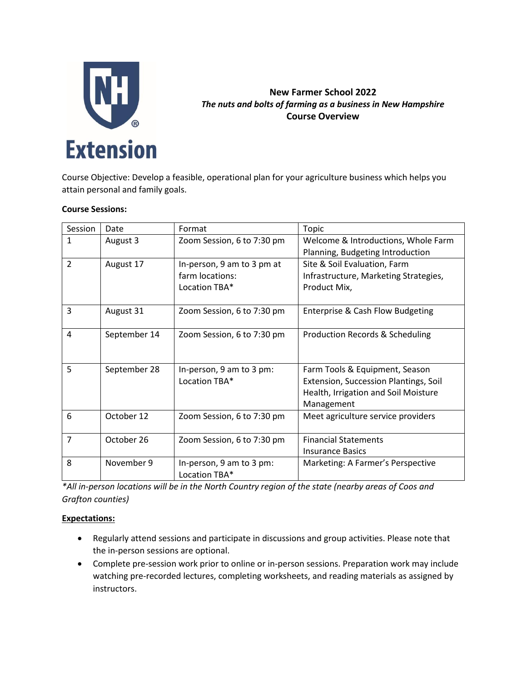

# **New Farmer School 2022** *The nuts and bolts of farming as a business in New Hampshire* **Course Overview**

Course Objective: Develop a feasible, operational plan for your agriculture business which helps you attain personal and family goals.

### **Course Sessions:**

| Session        | Date         | Format                                    | Topic                                      |
|----------------|--------------|-------------------------------------------|--------------------------------------------|
| $\mathbf{1}$   | August 3     | Zoom Session, 6 to 7:30 pm                | Welcome & Introductions, Whole Farm        |
|                |              |                                           | Planning, Budgeting Introduction           |
| $\overline{2}$ | August 17    | In-person, 9 am to 3 pm at                | Site & Soil Evaluation, Farm               |
|                |              | farm locations:                           | Infrastructure, Marketing Strategies,      |
|                |              | Location TBA*                             | Product Mix,                               |
|                |              |                                           |                                            |
| 3              | August 31    | Zoom Session, 6 to 7:30 pm                | Enterprise & Cash Flow Budgeting           |
|                |              |                                           |                                            |
| 4              | September 14 | Zoom Session, 6 to 7:30 pm                | <b>Production Records &amp; Scheduling</b> |
|                |              |                                           |                                            |
|                |              |                                           |                                            |
| 5              | September 28 | In-person, 9 am to 3 pm:                  | Farm Tools & Equipment, Season             |
|                |              | Location TBA*                             | Extension, Succession Plantings, Soil      |
|                |              |                                           | Health, Irrigation and Soil Moisture       |
|                |              |                                           | Management                                 |
| 6              | October 12   | Zoom Session, 6 to 7:30 pm                | Meet agriculture service providers         |
|                |              |                                           |                                            |
| 7              | October 26   | Zoom Session, 6 to 7:30 pm                | <b>Financial Statements</b>                |
|                |              |                                           | <b>Insurance Basics</b>                    |
| 8              | November 9   | In-person, 9 am to 3 pm:<br>Location TBA* | Marketing: A Farmer's Perspective          |

*\*All in-person locations will be in the North Country region of the state (nearby areas of Coos and Grafton counties)*

### **Expectations:**

- Regularly attend sessions and participate in discussions and group activities. Please note that the in-person sessions are optional.
- Complete pre-session work prior to online or in-person sessions. Preparation work may include watching pre-recorded lectures, completing worksheets, and reading materials as assigned by instructors.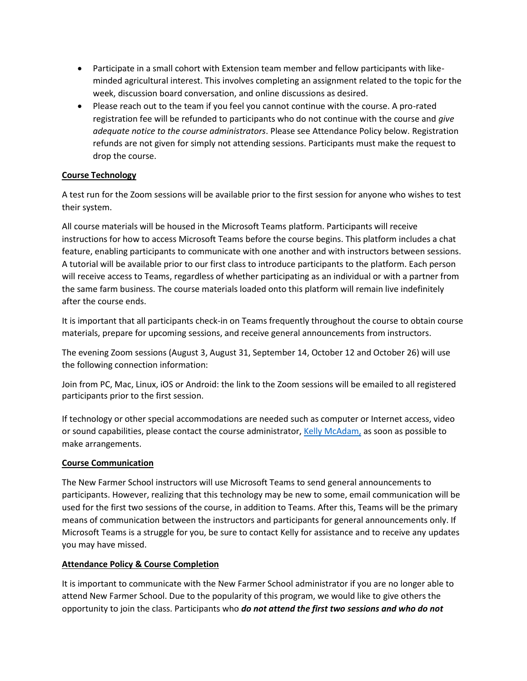- Participate in a small cohort with Extension team member and fellow participants with likeminded agricultural interest. This involves completing an assignment related to the topic for the week, discussion board conversation, and online discussions as desired.
- Please reach out to the team if you feel you cannot continue with the course. A pro-rated registration fee will be refunded to participants who do not continue with the course and *give adequate notice to the course administrators*. Please see Attendance Policy below. Registration refunds are not given for simply not attending sessions. Participants must make the request to drop the course.

# **Course Technology**

A test run for the Zoom sessions will be available prior to the first session for anyone who wishes to test their system.

All course materials will be housed in the Microsoft Teams platform. Participants will receive instructions for how to access Microsoft Teams before the course begins. This platform includes a chat feature, enabling participants to communicate with one another and with instructors between sessions. A tutorial will be available prior to our first class to introduce participants to the platform. Each person will receive access to Teams, regardless of whether participating as an individual or with a partner from the same farm business. The course materials loaded onto this platform will remain live indefinitely after the course ends.

It is important that all participants check-in on Teams frequently throughout the course to obtain course materials, prepare for upcoming sessions, and receive general announcements from instructors.

The evening Zoom sessions (August 3, August 31, September 14, October 12 and October 26) will use the following connection information:

Join from PC, Mac, Linux, iOS or Android: the link to the Zoom sessions will be emailed to all registered participants prior to the first session.

If technology or other special accommodations are needed such as computer or Internet access, video or sound capabilities, please contact the course administrator, [Kelly McAdam,](mailto:kelly.mcadam@unh.edu) as soon as possible to make arrangements.

# **Course Communication**

The New Farmer School instructors will use Microsoft Teams to send general announcements to participants. However, realizing that this technology may be new to some, email communication will be used for the first two sessions of the course, in addition to Teams. After this, Teams will be the primary means of communication between the instructors and participants for general announcements only. If Microsoft Teams is a struggle for you, be sure to contact Kelly for assistance and to receive any updates you may have missed.

### **Attendance Policy & Course Completion**

It is important to communicate with the New Farmer School administrator if you are no longer able to attend New Farmer School. Due to the popularity of this program, we would like to give others the opportunity to join the class. Participants who *do not attend the first two sessions and who do not*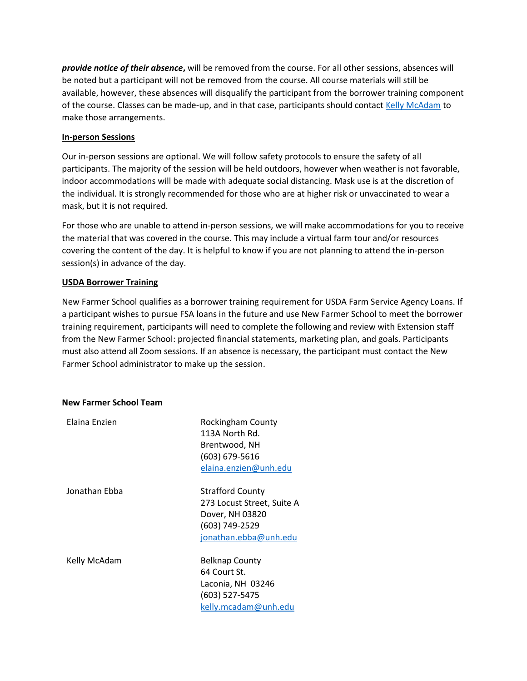*provide notice of their absence***,** will be removed from the course. For all other sessions, absences will be noted but a participant will not be removed from the course. All course materials will still be available, however, these absences will disqualify the participant from the borrower training component of the course. Classes can be made-up, and in that case, participants should contact [Kelly McAdam](mailto:kelly.mcadam@unh.edu) to make those arrangements.

### **In-person Sessions**

Our in-person sessions are optional. We will follow safety protocols to ensure the safety of all participants. The majority of the session will be held outdoors, however when weather is not favorable, indoor accommodations will be made with adequate social distancing. Mask use is at the discretion of the individual. It is strongly recommended for those who are at higher risk or unvaccinated to wear a mask, but it is not required.

For those who are unable to attend in-person sessions, we will make accommodations for you to receive the material that was covered in the course. This may include a virtual farm tour and/or resources covering the content of the day. It is helpful to know if you are not planning to attend the in-person session(s) in advance of the day.

### **USDA Borrower Training**

New Farmer School qualifies as a borrower training requirement for USDA Farm Service Agency Loans. If a participant wishes to pursue FSA loans in the future and use New Farmer School to meet the borrower training requirement, participants will need to complete the following and review with Extension staff from the New Farmer School: projected financial statements, marketing plan, and goals. Participants must also attend all Zoom sessions. If an absence is necessary, the participant must contact the New Farmer School administrator to make up the session.

### **New Farmer School Team**

| Rockingham County          |
|----------------------------|
| 113A North Rd.             |
| Brentwood, NH              |
| (603) 679-5616             |
| elaina.enzien@unh.edu      |
| <b>Strafford County</b>    |
| 273 Locust Street, Suite A |
| Dover, NH 03820            |
| (603) 749-2529             |
| jonathan.ebba@unh.edu      |
| <b>Belknap County</b>      |
| 64 Court St.               |
| Laconia, NH 03246          |
| (603) 527-5475             |
| kelly.mcadam@unh.edu       |
|                            |